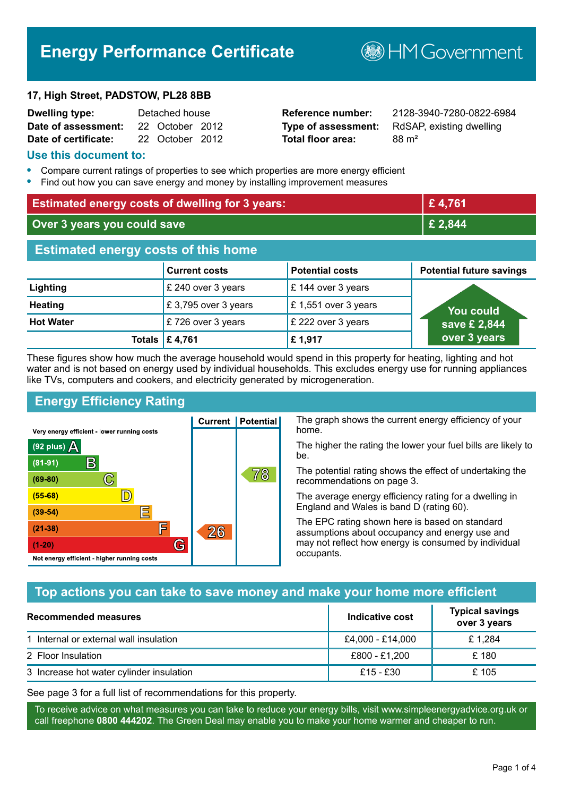# **Energy Performance Certificate**

**B**HM Government

#### **17, High Street, PADSTOW, PL28 8BB**

| Dwelling type:       | Detached house |                 |  |
|----------------------|----------------|-----------------|--|
| Date of assessment:  |                | 22 October 2012 |  |
| Date of certificate: |                | 22 October 2012 |  |

# **Total floor area:** 88 m<sup>2</sup>

**Reference number:** 2128-3940-7280-0822-6984 **Type of assessment:** RdSAP, existing dwelling

#### **Use this document to:**

- **•** Compare current ratings of properties to see which properties are more energy efficient
- **•** Find out how you can save energy and money by installing improvement measures

| <b>Estimated energy costs of dwelling for 3 years:</b> |                           |                        | £4,761                          |
|--------------------------------------------------------|---------------------------|------------------------|---------------------------------|
| Over 3 years you could save                            |                           | £ 2,844                |                                 |
| <b>Estimated energy costs of this home</b>             |                           |                        |                                 |
|                                                        | <b>Current costs</b>      | <b>Potential costs</b> | <b>Potential future savings</b> |
| Lighting                                               | £ 240 over 3 years        | £ 144 over 3 years     |                                 |
| <b>Heating</b>                                         | £3,795 over 3 years       | £ 1,551 over 3 years   | You could                       |
| <b>Hot Water</b>                                       | £726 over 3 years         | £ 222 over 3 years     | save £ 2,844                    |
|                                                        | Totals $\mathsf{E}$ 4,761 | £1,917                 | over 3 years                    |

These figures show how much the average household would spend in this property for heating, lighting and hot water and is not based on energy used by individual households. This excludes energy use for running appliances like TVs, computers and cookers, and electricity generated by microgeneration.

**Current | Potential** 

26

# **Energy Efficiency Rating**

 $\mathbb{C}$ 

 $\mathbb{D}$ 

E

眉

G

Very energy efficient - lower running costs

 $\mathsf{R}% _{T}$ 

Not energy efficient - higher running costs

(92 plus)  $\Delta$ 

 $(81 - 91)$ 

 $(69 - 80)$ 

 $(55-68)$ 

 $(39 - 54)$ 

 $(21-38)$ 

 $(1-20)$ 

The graph shows the current energy efficiency of your home.

The higher the rating the lower your fuel bills are likely to be.

The potential rating shows the effect of undertaking the recommendations on page 3.

The average energy efficiency rating for a dwelling in England and Wales is band D (rating 60).

The EPC rating shown here is based on standard assumptions about occupancy and energy use and may not reflect how energy is consumed by individual occupants.

# **Top actions you can take to save money and make your home more efficient**

78

| <b>Recommended measures</b>              | Indicative cost  | <b>Typical savings</b><br>over 3 years |
|------------------------------------------|------------------|----------------------------------------|
| 1 Internal or external wall insulation   | £4,000 - £14,000 | £1,284                                 |
| 2 Floor Insulation                       | £800 - £1,200    | £180                                   |
| 3 Increase hot water cylinder insulation | £15 - £30        | £ 105                                  |

See page 3 for a full list of recommendations for this property.

To receive advice on what measures you can take to reduce your energy bills, visit www.simpleenergyadvice.org.uk or call freephone **0800 444202**. The Green Deal may enable you to make your home warmer and cheaper to run.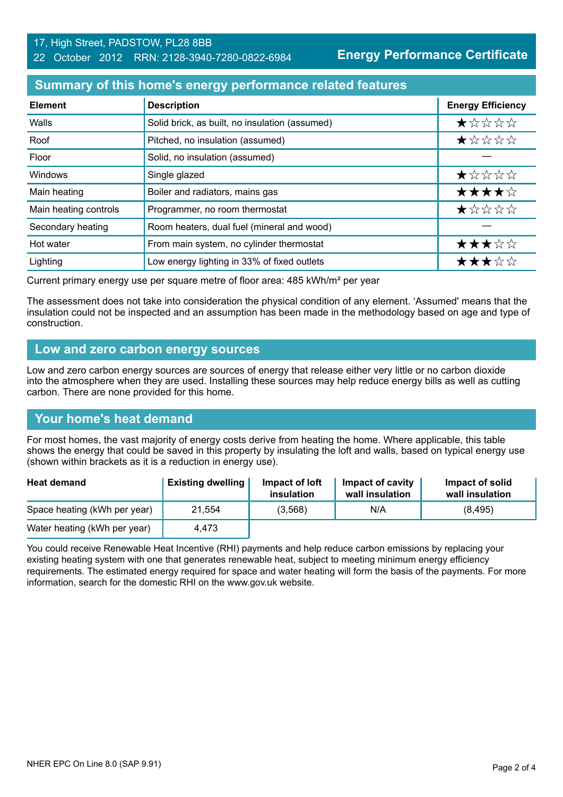#### 17, High Street, PADSTOW, PL28 8BB 22 October 2012 RRN: 2128-3940-7280-0822-6984

**Energy Performance Certificate**

# **Summary of this home's energy performance related features**

| <b>Element</b>        | <b>Description</b>                             | <b>Energy Efficiency</b> |
|-----------------------|------------------------------------------------|--------------------------|
| Walls                 | Solid brick, as built, no insulation (assumed) | *****                    |
| Roof                  | Pitched, no insulation (assumed)               | ★☆☆☆☆                    |
| Floor                 | Solid, no insulation (assumed)                 |                          |
| <b>Windows</b>        | Single glazed                                  | ★☆☆☆☆                    |
| Main heating          | Boiler and radiators, mains gas                | ★★★★☆                    |
| Main heating controls | Programmer, no room thermostat                 | $\star$ * * * *          |
| Secondary heating     | Room heaters, dual fuel (mineral and wood)     |                          |
| Hot water             | From main system, no cylinder thermostat       | ★★★☆☆                    |
| Lighting              | Low energy lighting in 33% of fixed outlets    | ★★★☆☆                    |

Current primary energy use per square metre of floor area: 485 kWh/m² per year

The assessment does not take into consideration the physical condition of any element. 'Assumed' means that the insulation could not be inspected and an assumption has been made in the methodology based on age and type of construction.

### **Low and zero carbon energy sources**

Low and zero carbon energy sources are sources of energy that release either very little or no carbon dioxide into the atmosphere when they are used. Installing these sources may help reduce energy bills as well as cutting carbon. There are none provided for this home.

# **Your home's heat demand**

For most homes, the vast majority of energy costs derive from heating the home. Where applicable, this table shows the energy that could be saved in this property by insulating the loft and walls, based on typical energy use (shown within brackets as it is a reduction in energy use).

| <b>Heat demand</b>           | <b>Existing dwelling</b> | Impact of loft<br>insulation | Impact of cavity<br>wall insulation | Impact of solid<br>wall insulation |
|------------------------------|--------------------------|------------------------------|-------------------------------------|------------------------------------|
| Space heating (kWh per year) | 21.554                   | (3,568)                      | N/A                                 | (8, 495)                           |
| Water heating (kWh per year) | 4.473                    |                              |                                     |                                    |

You could receive Renewable Heat Incentive (RHI) payments and help reduce carbon emissions by replacing your existing heating system with one that generates renewable heat, subject to meeting minimum energy efficiency requirements. The estimated energy required for space and water heating will form the basis of the payments. For more information, search for the domestic RHI on the www.gov.uk website.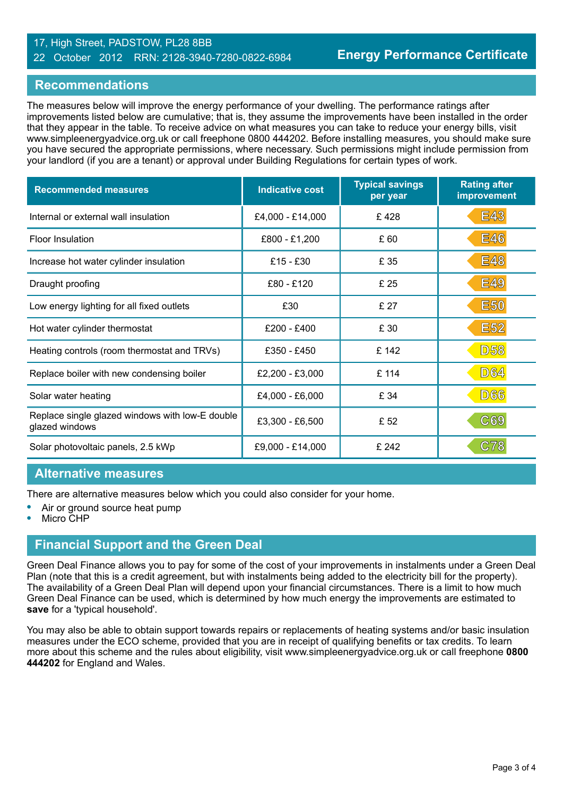#### 17, High Street, PADSTOW, PL28 8BB 22 October 2012 RRN: 2128-3940-7280-0822-6984

## **Recommendations**

The measures below will improve the energy performance of your dwelling. The performance ratings after improvements listed below are cumulative; that is, they assume the improvements have been installed in the order that they appear in the table. To receive advice on what measures you can take to reduce your energy bills, visit www.simpleenergyadvice.org.uk or call freephone 0800 444202. Before installing measures, you should make sure you have secured the appropriate permissions, where necessary. Such permissions might include permission from your landlord (if you are a tenant) or approval under Building Regulations for certain types of work.

| <b>Recommended measures</b>                                       | <b>Indicative cost</b> | <b>Typical savings</b><br>per year | <b>Rating after</b><br>improvement |
|-------------------------------------------------------------------|------------------------|------------------------------------|------------------------------------|
| Internal or external wall insulation                              | £4,000 - £14,000       | £428                               | <b>E43</b>                         |
| <b>Floor Insulation</b>                                           | £800 - £1,200          | £60                                | <b>E46</b>                         |
| Increase hot water cylinder insulation                            | $£15 - £30$            | £ 35                               | <b>E48</b>                         |
| Draught proofing                                                  | £80 - £120             | £ 25                               | <b>E49</b>                         |
| Low energy lighting for all fixed outlets                         | £30                    | £ 27                               | <b>E50</b>                         |
| Hot water cylinder thermostat                                     | £200 - £400            | £ 30                               | <b>E52</b>                         |
| Heating controls (room thermostat and TRVs)                       | £350 - £450            | £142                               | <b>D58</b>                         |
| Replace boiler with new condensing boiler                         | £2,200 - £3,000        | £ 114                              | <b>D64</b>                         |
| Solar water heating                                               | £4,000 - £6,000        | £ 34                               | <b>D66</b>                         |
| Replace single glazed windows with low-E double<br>glazed windows | £3,300 - £6,500        | £ 52                               | C69                                |
| Solar photovoltaic panels, 2.5 kWp                                | £9,000 - £14,000       | £ 242                              | <b>C78</b>                         |

### **Alternative measures**

There are alternative measures below which you could also consider for your home.

- **•** Air or ground source heat pump
- **•** Micro CHP

### **Financial Support and the Green Deal**

Green Deal Finance allows you to pay for some of the cost of your improvements in instalments under a Green Deal Plan (note that this is a credit agreement, but with instalments being added to the electricity bill for the property). The availability of a Green Deal Plan will depend upon your financial circumstances. There is a limit to how much Green Deal Finance can be used, which is determined by how much energy the improvements are estimated to **save** for a 'typical household'.

You may also be able to obtain support towards repairs or replacements of heating systems and/or basic insulation measures under the ECO scheme, provided that you are in receipt of qualifying benefits or tax credits. To learn more about this scheme and the rules about eligibility, visit www.simpleenergyadvice.org.uk or call freephone **0800 444202** for England and Wales.